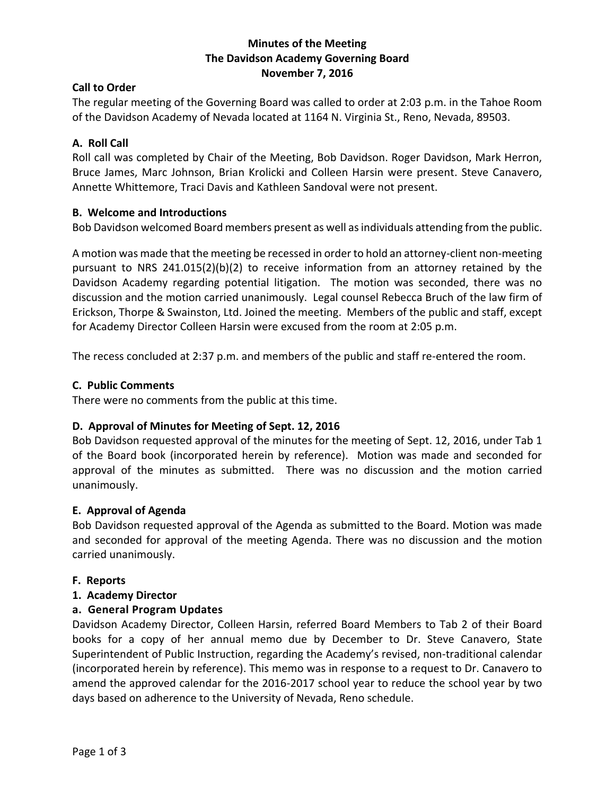#### **Minutes of the Meeting The Davidson Academy Governing Board November 7, 2016**

#### **Call to Order**

The regular meeting of the Governing Board was called to order at 2:03 p.m. in the Tahoe Room of the Davidson Academy of Nevada located at 1164 N. Virginia St., Reno, Nevada, 89503.

#### **A. Roll Call**

Roll call was completed by Chair of the Meeting, Bob Davidson. Roger Davidson, Mark Herron, Bruce James, Marc Johnson, Brian Krolicki and Colleen Harsin were present. Steve Canavero, Annette Whittemore, Traci Davis and Kathleen Sandoval were not present.

#### **B. Welcome and Introductions**

Bob Davidson welcomed Board members present as well as individuals attending from the public.

A motion was made that the meeting be recessed in order to hold an attorney-client non-meeting pursuant to NRS 241.015(2)(b)(2) to receive information from an attorney retained by the Davidson Academy regarding potential litigation. The motion was seconded, there was no discussion and the motion carried unanimously. Legal counsel Rebecca Bruch of the law firm of Erickson, Thorpe & Swainston, Ltd. Joined the meeting. Members of the public and staff, except for Academy Director Colleen Harsin were excused from the room at 2:05 p.m.

The recess concluded at 2:37 p.m. and members of the public and staff re-entered the room.

#### **C. Public Comments**

There were no comments from the public at this time.

#### **D. Approval of Minutes for Meeting of Sept. 12, 2016**

Bob Davidson requested approval of the minutes for the meeting of Sept. 12, 2016, under Tab 1 of the Board book (incorporated herein by reference). Motion was made and seconded for approval of the minutes as submitted. There was no discussion and the motion carried unanimously.

#### **E. Approval of Agenda**

Bob Davidson requested approval of the Agenda as submitted to the Board. Motion was made and seconded for approval of the meeting Agenda. There was no discussion and the motion carried unanimously.

#### **F. Reports**

# **1. Academy Director**

# **a. General Program Updates**

Davidson Academy Director, Colleen Harsin, referred Board Members to Tab 2 of their Board books for a copy of her annual memo due by December to Dr. Steve Canavero, State Superintendent of Public Instruction, regarding the Academy's revised, non-traditional calendar (incorporated herein by reference). This memo was in response to a request to Dr. Canavero to amend the approved calendar for the 2016-2017 school year to reduce the school year by two days based on adherence to the University of Nevada, Reno schedule.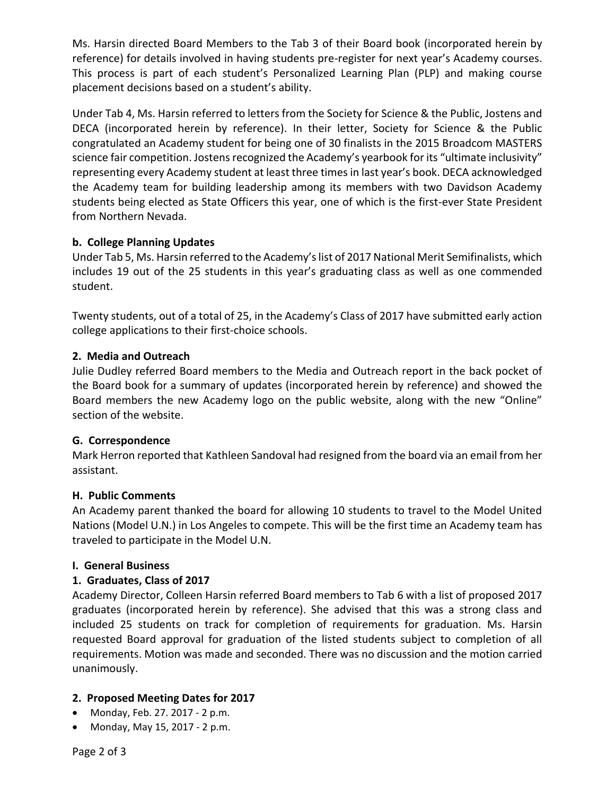Ms. Harsin directed Board Members to the Tab 3 of their Board book (incorporated herein by reference) for details involved in having students pre-register for next year's Academy courses. This process is part of each student's Personalized Learning Plan (PLP) and making course placement decisions based on a student's ability.

Under Tab 4, Ms. Harsin referred to letters from the Society for Science & the Public, Jostens and DECA (incorporated herein by reference). In their letter, Society for Science & the Public congratulated an Academy student for being one of 30 finalists in the 2015 Broadcom MASTERS science fair competition. Jostens recognized the Academy's yearbook for its "ultimate inclusivity" representing every Academy student at least three times in last year's book. DECA acknowledged the Academy team for building leadership among its members with two Davidson Academy students being elected as State Officers this year, one of which is the first-ever State President from Northern Nevada.

# **b. College Planning Updates**

Under Tab 5, Ms. Harsin referred to the Academy's list of 2017 National Merit Semifinalists, which includes 19 out of the 25 students in this year's graduating class as well as one commended student.

Twenty students, out of a total of 25, in the Academy's Class of 2017 have submitted early action college applications to their first-choice schools.

# **2. Media and Outreach**

Julie Dudley referred Board members to the Media and Outreach report in the back pocket of the Board book for a summary of updates (incorporated herein by reference) and showed the Board members the new Academy logo on the public website, along with the new "Online" section of the website.

# **G. Correspondence**

Mark Herron reported that Kathleen Sandoval had resigned from the board via an email from her assistant.

# **H. Public Comments**

An Academy parent thanked the board for allowing 10 students to travel to the Model United Nations (Model U.N.) in Los Angeles to compete. This will be the first time an Academy team has traveled to participate in the Model U.N.

# **I. General Business**

# **1. Graduates, Class of 2017**

Academy Director, Colleen Harsin referred Board members to Tab 6 with a list of proposed 2017 graduates (incorporated herein by reference). She advised that this was a strong class and included 25 students on track for completion of requirements for graduation. Ms. Harsin requested Board approval for graduation of the listed students subject to completion of all requirements. Motion was made and seconded. There was no discussion and the motion carried unanimously.

# **2. Proposed Meeting Dates for 2017**

- Monday, Feb. 27. 2017 2 p.m.
- Monday, May 15, 2017 2 p.m.